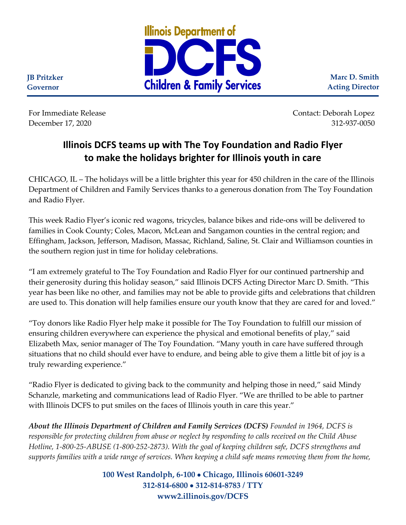

**Marc D. Smith Acting Director**

**JB Pritzker Governor**

For Immediate Release Contact: Deborah Lopez December 17, 2020 312-937-0050

## **Illinois DCFS teams up with The Toy Foundation and Radio Flyer to make the holidays brighter for Illinois youth in care**

CHICAGO, IL – The holidays will be a little brighter this year for 450 children in the care of the Illinois Department of Children and Family Services thanks to a generous donation from The Toy Foundation and Radio Flyer.

This week Radio Flyer's iconic red wagons, tricycles, balance bikes and ride-ons will be delivered to families in Cook County; Coles, Macon, McLean and Sangamon counties in the central region; and Effingham, Jackson, Jefferson, Madison, Massac, Richland, Saline, St. Clair and Williamson counties in the southern region just in time for holiday celebrations.

"I am extremely grateful to The Toy Foundation and Radio Flyer for our continued partnership and their generosity during this holiday season," said Illinois DCFS Acting Director Marc D. Smith. "This year has been like no other, and families may not be able to provide gifts and celebrations that children are used to. This donation will help families ensure our youth know that they are cared for and loved."

"Toy donors like Radio Flyer help make it possible for The Toy Foundation to fulfill our mission of ensuring children everywhere can experience the physical and emotional benefits of play," said Elizabeth Max, senior manager of The Toy Foundation. "Many youth in care have suffered through situations that no child should ever have to endure, and being able to give them a little bit of joy is a truly rewarding experience."

"Radio Flyer is dedicated to giving back to the community and helping those in need," said Mindy Schanzle, marketing and communications lead of Radio Flyer. "We are thrilled to be able to partner with Illinois DCFS to put smiles on the faces of Illinois youth in care this year."

*About the Illinois Department of Children and Family Services (DCFS) Founded in 1964, DCFS is responsible for protecting children from abuse or neglect by responding to calls received on the Child Abuse Hotline, 1-800-25-ABUSE (1-800-252-2873). With the goal of keeping children safe, DCFS strengthens and supports families with a wide range of services. When keeping a child safe means removing them from the home,* 

> **100 West Randolph, 6-100** • **Chicago, Illinois 60601-3249 312-814-6800** • **312-814-8783 / TTY www2.illinois.gov/DCFS**